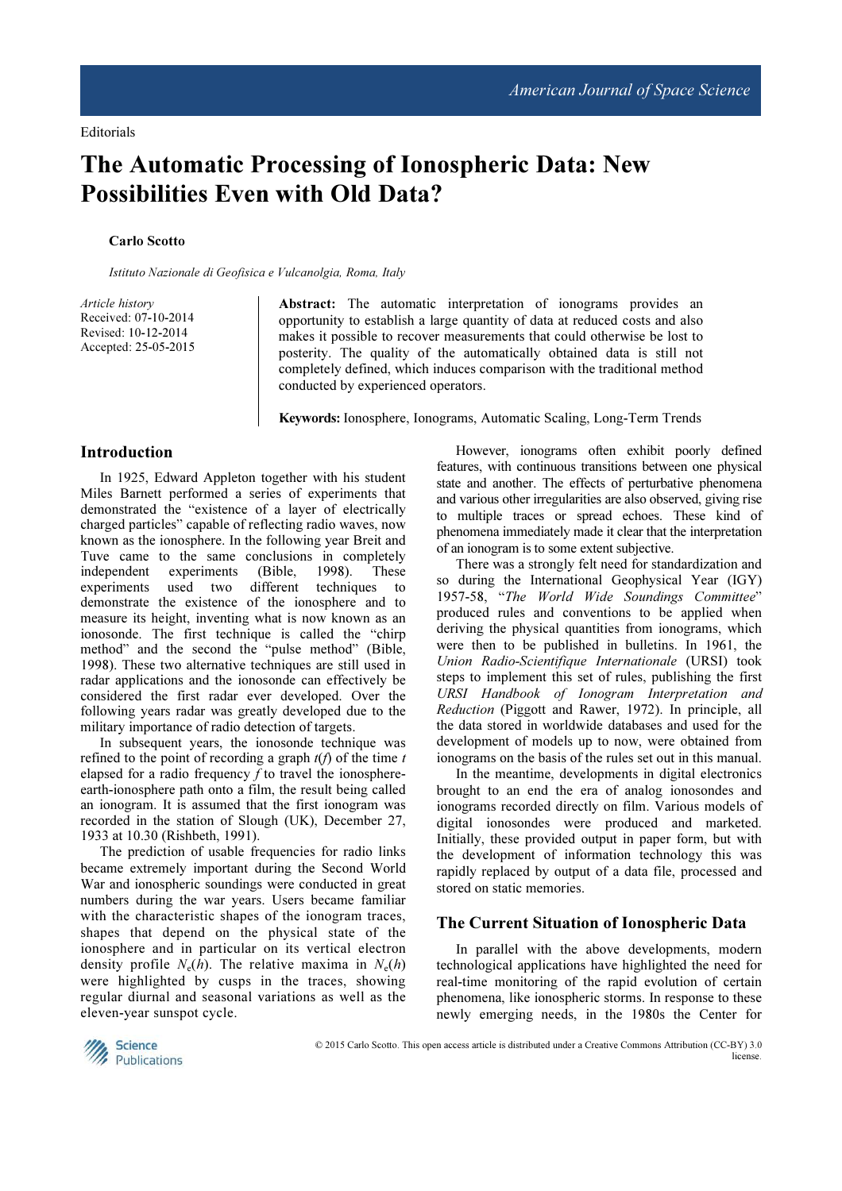# The Automatic Processing of Ionospheric Data: New Possibilities Even with Old Data?

#### Carlo Scotto

Istituto Nazionale di Geofisica e Vulcanolgia, Roma, Italy

Article history Received: 07-10-2014 Revised: 10-12-2014 Accepted: 25-05-2015

Abstract: The automatic interpretation of ionograms provides an opportunity to establish a large quantity of data at reduced costs and also makes it possible to recover measurements that could otherwise be lost to posterity. The quality of the automatically obtained data is still not completely defined, which induces comparison with the traditional method conducted by experienced operators.

Keywords: Ionosphere, Ionograms, Automatic Scaling, Long-Term Trends

#### Introduction

In 1925, Edward Appleton together with his student Miles Barnett performed a series of experiments that demonstrated the "existence of a layer of electrically charged particles" capable of reflecting radio waves, now known as the ionosphere. In the following year Breit and Tuve came to the same conclusions in completely independent experiments (Bible, 1998). These experiments used two different techniques to demonstrate the existence of the ionosphere and to measure its height, inventing what is now known as an ionosonde. The first technique is called the "chirp method" and the second the "pulse method" (Bible, 1998). These two alternative techniques are still used in radar applications and the ionosonde can effectively be considered the first radar ever developed. Over the following years radar was greatly developed due to the military importance of radio detection of targets.

In subsequent years, the ionosonde technique was refined to the point of recording a graph  $t(f)$  of the time t elapsed for a radio frequency  $f$  to travel the ionosphereearth-ionosphere path onto a film, the result being called an ionogram. It is assumed that the first ionogram was recorded in the station of Slough (UK), December 27, 1933 at 10.30 (Rishbeth, 1991).

The prediction of usable frequencies for radio links became extremely important during the Second World War and ionospheric soundings were conducted in great numbers during the war years. Users became familiar with the characteristic shapes of the ionogram traces, shapes that depend on the physical state of the ionosphere and in particular on its vertical electron density profile  $N_e(h)$ . The relative maxima in  $N_e(h)$ were highlighted by cusps in the traces, showing regular diurnal and seasonal variations as well as the eleven-year sunspot cycle.

However, ionograms often exhibit poorly defined features, with continuous transitions between one physical state and another. The effects of perturbative phenomena and various other irregularities are also observed, giving rise to multiple traces or spread echoes. These kind of phenomena immediately made it clear that the interpretation of an ionogram is to some extent subjective.

There was a strongly felt need for standardization and so during the International Geophysical Year (IGY) 1957-58, "The World Wide Soundings Committee" produced rules and conventions to be applied when deriving the physical quantities from ionograms, which were then to be published in bulletins. In 1961, the Union Radio-Scientifique Internationale (URSI) took steps to implement this set of rules, publishing the first URSI Handbook of Ionogram Interpretation and Reduction (Piggott and Rawer, 1972). In principle, all the data stored in worldwide databases and used for the development of models up to now, were obtained from ionograms on the basis of the rules set out in this manual.

In the meantime, developments in digital electronics brought to an end the era of analog ionosondes and ionograms recorded directly on film. Various models of digital ionosondes were produced and marketed. Initially, these provided output in paper form, but with the development of information technology this was rapidly replaced by output of a data file, processed and stored on static memories.

#### The Current Situation of Ionospheric Data

In parallel with the above developments, modern technological applications have highlighted the need for real-time monitoring of the rapid evolution of certain phenomena, like ionospheric storms. In response to these newly emerging needs, in the 1980s the Center for